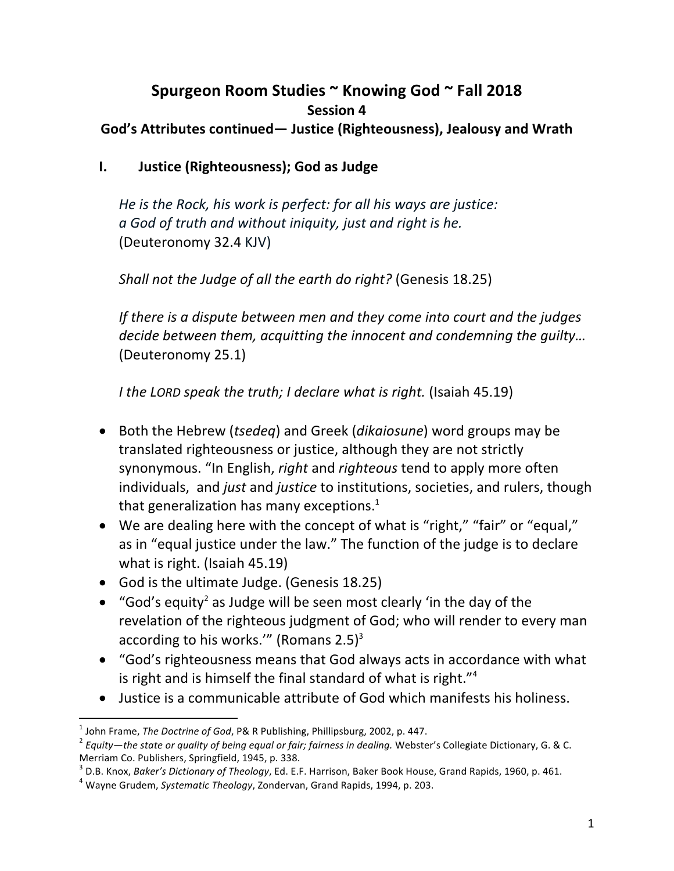## Spurgeon Room Studies ~ Knowing God ~ Fall 2018 **Session 4** God's Attributes continued— Justice (Righteousness), Jealousy and Wrath

## **I. Justice (Righteousness); God as Judge**

He is the Rock, his work is perfect: for all his ways are justice: *a God of truth and without iniquity, just and right is he.* (Deuteronomy 32.4 KJV)

*Shall not the Judge of all the earth do right?* (Genesis 18.25)

*If* there is a dispute between men and they come into court and the judges decide between them, acquitting the innocent and condemning the guilty... (Deuteronomy 25.1)

*I* the LORD speak the truth; *I* declare what is right. (Isaiah 45.19)

- Both the Hebrew (*tsedeq*) and Greek (*dikaiosune*) word groups may be translated righteousness or justice, although they are not strictly synonymous. "In English, *right* and *righteous* tend to apply more often individuals, and *just* and *justice* to institutions, societies, and rulers, though that generalization has many exceptions.<sup>1</sup>
- We are dealing here with the concept of what is "right," "fair" or "equal," as in "equal justice under the law." The function of the judge is to declare what is right. (Isaiah  $45.19$ )
- God is the ultimate Judge. (Genesis 18.25)
- "God's equity<sup>2</sup> as Judge will be seen most clearly 'in the day of the revelation of the righteous judgment of God; who will render to every man according to his works.'" (Romans  $2.5$ )<sup>3</sup>
- "God's righteousness means that God always acts in accordance with what is right and is himself the final standard of what is right." $4$
- Justice is a communicable attribute of God which manifests his holiness.

<sup>&</sup>lt;sup>1</sup> John Frame, *The Doctrine of God*, P& R Publishing, Phillipsburg, 2002, p. 447.<br><sup>2</sup> Equity—the state or quality of being equal or fair; fairness in dealing. Webster's Collegiate Dictionary, G. & C. Merriam Co. Publishers, Springfield, 1945, p. 338.

<sup>&</sup>lt;sup>3</sup> D.B. Knox, *Baker's Dictionary of Theology*, Ed. E.F. Harrison, Baker Book House, Grand Rapids, 1960, p. 461.<br><sup>4</sup> Wavne Grudem, *Systematic Theology*, Zondervan, Grand Rapids, 1994, p. 203.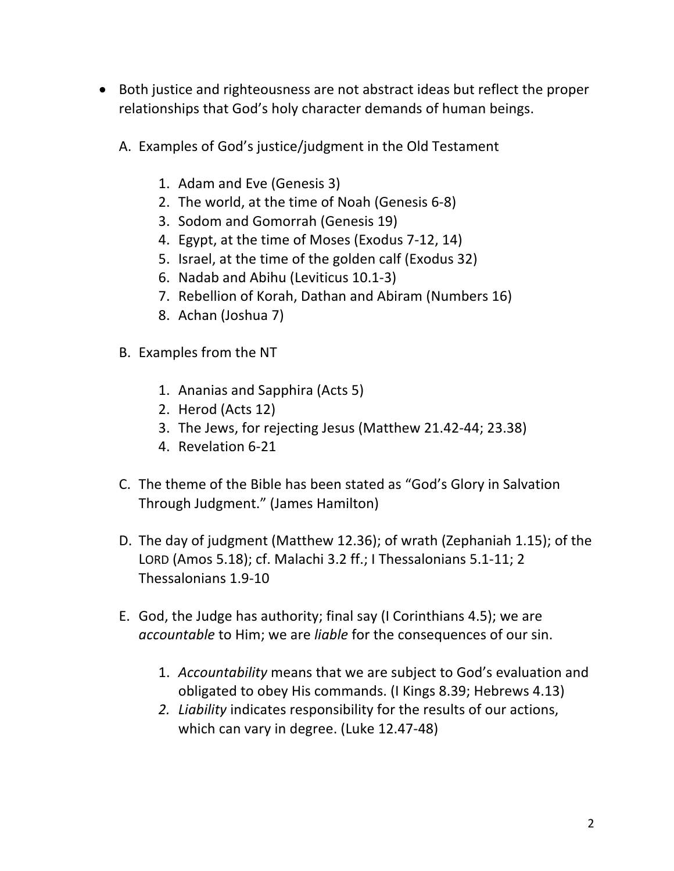- Both justice and righteousness are not abstract ideas but reflect the proper relationships that God's holy character demands of human beings.
	- A. Examples of God's justice/judgment in the Old Testament
		- 1. Adam and Eve (Genesis 3)
		- 2. The world, at the time of Noah (Genesis 6-8)
		- 3. Sodom and Gomorrah (Genesis 19)
		- 4. Egypt, at the time of Moses (Exodus 7-12, 14)
		- 5. Israel, at the time of the golden calf (Exodus 32)
		- 6. Nadab and Abihu (Leviticus 10.1-3)
		- 7. Rebellion of Korah, Dathan and Abiram (Numbers 16)
		- 8. Achan (Joshua 7)
	- B. Examples from the NT
		- 1. Ananias and Sapphira (Acts 5)
		- 2. Herod (Acts 12)
		- 3. The Jews, for rejecting Jesus (Matthew 21.42-44; 23.38)
		- 4. Revelation 6-21
	- C. The theme of the Bible has been stated as "God's Glory in Salvation Through Judgment." (James Hamilton)
	- D. The day of judgment (Matthew 12.36); of wrath (Zephaniah 1.15); of the LORD (Amos 5.18); cf. Malachi 3.2 ff.; I Thessalonians 5.1-11; 2 Thessalonians 1.9-10
	- E. God, the Judge has authority; final say (I Corinthians 4.5); we are *accountable* to Him; we are *liable* for the consequences of our sin.
		- 1. *Accountability* means that we are subject to God's evaluation and obligated to obey His commands. (I Kings 8.39; Hebrews 4.13)
		- 2. Liability indicates responsibility for the results of our actions, which can vary in degree. (Luke 12.47-48)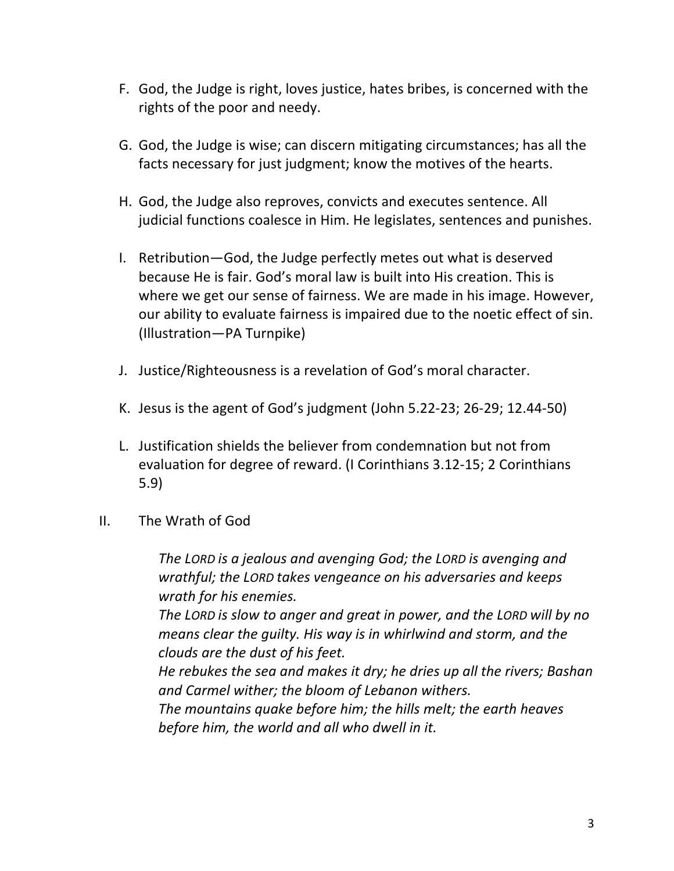- F. God, the Judge is right, loves justice, hates bribes, is concerned with the rights of the poor and needy.
- G. God, the Judge is wise; can discern mitigating circumstances; has all the facts necessary for just judgment; know the motives of the hearts.
- H. God, the Judge also reproves, convicts and executes sentence. All judicial functions coalesce in Him. He legislates, sentences and punishes.
- I. Retribution—God, the Judge perfectly metes out what is deserved because He is fair. God's moral law is built into His creation. This is where we get our sense of fairness. We are made in his image. However, our ability to evaluate fairness is impaired due to the noetic effect of sin. (Illustration—PA Turnpike)
- J. Justice/Righteousness is a revelation of God's moral character.
- K. Jesus is the agent of God's judgment (John  $5.22-23$ ;  $26-29$ ;  $12.44-50$ )
- L. Justification shields the believer from condemnation but not from evaluation for degree of reward. (I Corinthians 3.12-15; 2 Corinthians 5.9)
- II. The Wrath of God

The LORD is a jealous and avenging God; the LORD is avenging and *wrathful; the LORD takes vengeance on his adversaries and keeps wrath for his enemies.*

The LORD is slow to anger and great in power, and the LORD will by no *means clear the quilty. His way is in whirlwind and storm, and the clouds are the dust of his feet.*

He rebukes the sea and makes it dry; he dries up all the rivers; Bashan and Carmel wither; the bloom of Lebanon withers.

The mountains quake before him; the hills melt; the earth heaves before him, the world and all who dwell in it.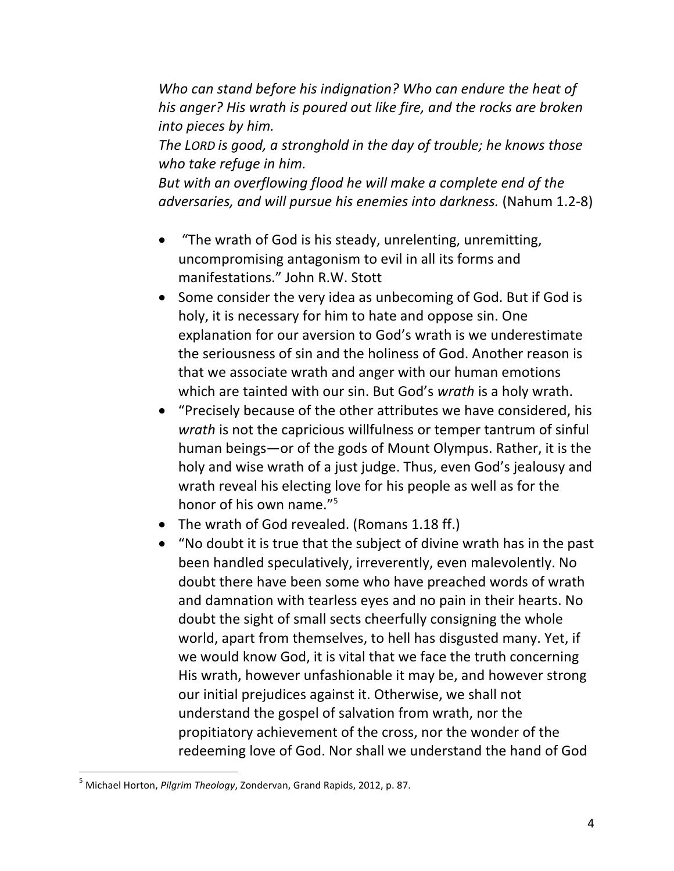Who can stand before his indignation? Who can endure the heat of his anger? His wrath is poured out like fire, and the rocks are broken *into pieces by him.*

The LORD is good, a stronghold in the day of trouble; he knows those *who take refuge in him.*

But with an overflowing flood he will make a complete end of the *adversaries, and will pursue his enemies into darkness.* (Nahum 1.2-8)

- "The wrath of God is his steady, unrelenting, unremitting, uncompromising antagonism to evil in all its forms and manifestations." John R.W. Stott
- Some consider the very idea as unbecoming of God. But if God is holy, it is necessary for him to hate and oppose sin. One explanation for our aversion to God's wrath is we underestimate the seriousness of sin and the holiness of God. Another reason is that we associate wrath and anger with our human emotions which are tainted with our sin. But God's *wrath* is a holy wrath.
- "Precisely because of the other attributes we have considered, his *wrath* is not the capricious willfulness or temper tantrum of sinful human beings—or of the gods of Mount Olympus. Rather, it is the holy and wise wrath of a just judge. Thus, even God's jealousy and wrath reveal his electing love for his people as well as for the honor of his own name. $^{15}$
- The wrath of God revealed. (Romans 1.18 ff.)
- "No doubt it is true that the subject of divine wrath has in the past been handled speculatively, irreverently, even malevolently. No doubt there have been some who have preached words of wrath and damnation with tearless eyes and no pain in their hearts. No doubt the sight of small sects cheerfully consigning the whole world, apart from themselves, to hell has disgusted many. Yet, if we would know God, it is vital that we face the truth concerning His wrath, however unfashionable it may be, and however strong our initial prejudices against it. Otherwise, we shall not understand the gospel of salvation from wrath, nor the propitiatory achievement of the cross, nor the wonder of the redeeming love of God. Nor shall we understand the hand of God

<sup>&</sup>lt;sup>5</sup> Michael Horton, *Pilgrim Theology*, Zondervan, Grand Rapids, 2012, p. 87.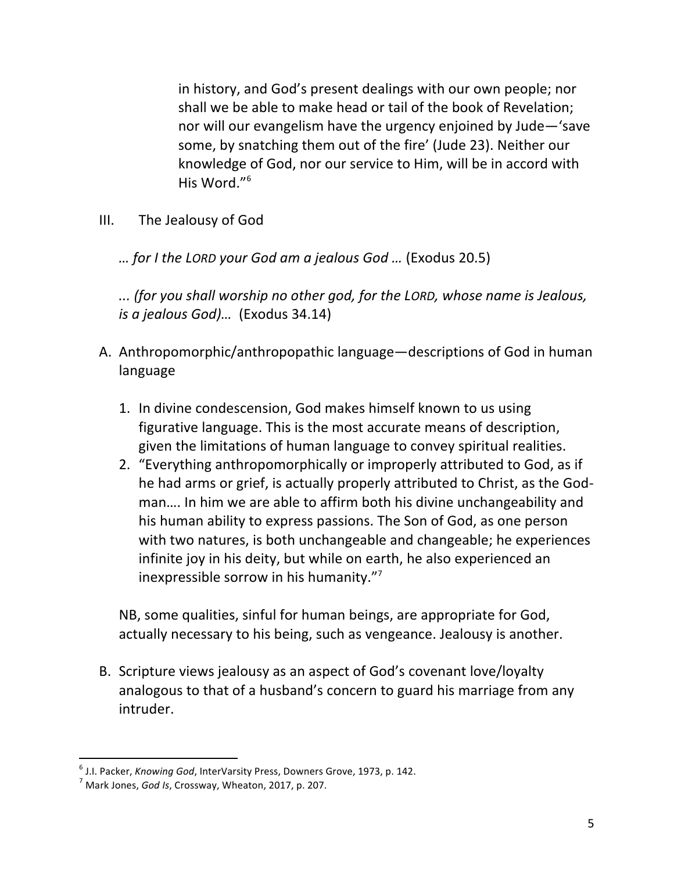in history, and God's present dealings with our own people; nor shall we be able to make head or tail of the book of Revelation; nor will our evangelism have the urgency enjoined by Jude–'save some, by snatching them out of the fire' (Jude 23). Neither our knowledge of God, nor our service to Him, will be in accord with His Word."<sup>6</sup>

- III. The Jealousy of God
	- *… for I the LORD your God am a jealous God …* (Exodus 20.5)

*... (for you shall worship no other god, for the LORD, whose name is Jealous, is a jealous God)...* (Exodus 34.14)

- A. Anthropomorphic/anthropopathic language—descriptions of God in human language
	- 1. In divine condescension, God makes himself known to us using figurative language. This is the most accurate means of description, given the limitations of human language to convey spiritual realities.
	- 2. "Everything anthropomorphically or improperly attributed to God, as if he had arms or grief, is actually properly attributed to Christ, as the Godman.... In him we are able to affirm both his divine unchangeability and his human ability to express passions. The Son of God, as one person with two natures, is both unchangeable and changeable; he experiences infinite joy in his deity, but while on earth, he also experienced an inexpressible sorrow in his humanity." $\frac{1}{2}$

NB, some qualities, sinful for human beings, are appropriate for God, actually necessary to his being, such as vengeance. Jealousy is another.

B. Scripture views jealousy as an aspect of God's covenant love/loyalty analogous to that of a husband's concern to guard his marriage from any intruder. 

<sup>&</sup>lt;sup>6</sup> J.I. Packer, *Knowing God*, InterVarsity Press, Downers Grove, 1973, p. 142.<br><sup>7</sup> Mark Jones, *God Is*, Crossway, Wheaton, 2017, p. 207.